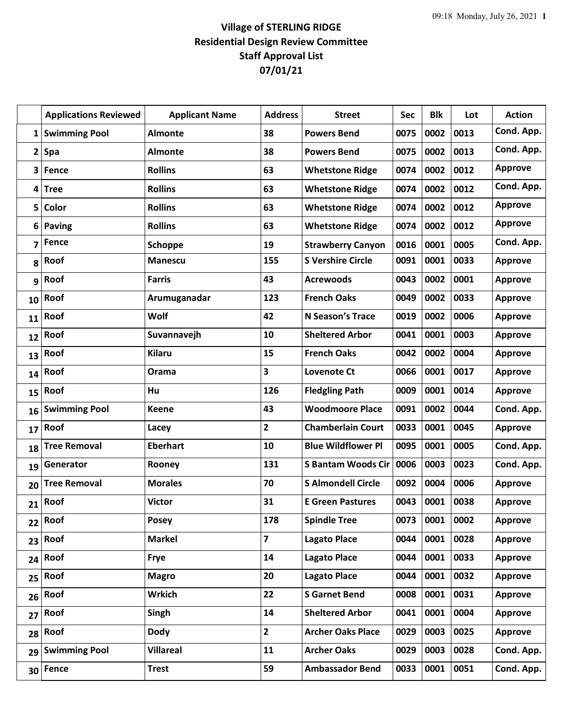## **Village of STERLING RIDGE Residential Design Review Committee Staff Approval List 07/01/21**

|              | <b>Applications Reviewed</b> | <b>Applicant Name</b> | <b>Address</b>          | <b>Street</b>             | Sec  | <b>Blk</b> | Lot  | <b>Action</b>  |
|--------------|------------------------------|-----------------------|-------------------------|---------------------------|------|------------|------|----------------|
| 1            | <b>Swimming Pool</b>         | <b>Almonte</b>        | 38                      | <b>Powers Bend</b>        | 0075 | 0002       | 0013 | Cond. App.     |
| $\mathbf{2}$ | Spa                          | <b>Almonte</b>        | 38                      | <b>Powers Bend</b>        | 0075 | 0002       | 0013 | Cond. App.     |
| 3            | Fence                        | <b>Rollins</b>        | 63                      | <b>Whetstone Ridge</b>    | 0074 | 0002       | 0012 | <b>Approve</b> |
| 4            | <b>Tree</b>                  | <b>Rollins</b>        | 63                      | <b>Whetstone Ridge</b>    | 0074 | 0002       | 0012 | Cond. App.     |
| 5            | Color                        | <b>Rollins</b>        | 63                      | <b>Whetstone Ridge</b>    | 0074 | 0002       | 0012 | <b>Approve</b> |
| 6            | Paving                       | <b>Rollins</b>        | 63                      | <b>Whetstone Ridge</b>    | 0074 | 0002       | 0012 | <b>Approve</b> |
| 7            | Fence                        | <b>Schoppe</b>        | 19                      | <b>Strawberry Canyon</b>  | 0016 | 0001       | 0005 | Cond. App.     |
| 8            | Roof                         | <b>Manescu</b>        | 155                     | <b>S Vershire Circle</b>  | 0091 | 0001       | 0033 | <b>Approve</b> |
| 9            | Roof                         | <b>Farris</b>         | 43                      | <b>Acrewoods</b>          | 0043 | 0002       | 0001 | <b>Approve</b> |
| 10           | Roof                         | Arumuganadar          | 123                     | <b>French Oaks</b>        | 0049 | 0002       | 0033 | <b>Approve</b> |
| 11           | Roof                         | Wolf                  | 42                      | N Season's Trace          | 0019 | 0002       | 0006 | <b>Approve</b> |
| 12           | Roof                         | Suvannavejh           | 10                      | <b>Sheltered Arbor</b>    | 0041 | 0001       | 0003 | <b>Approve</b> |
| 13           | Roof                         | <b>Kilaru</b>         | 15                      | <b>French Oaks</b>        | 0042 | 0002       | 0004 | <b>Approve</b> |
| 14           | Roof                         | Orama                 | $\overline{\mathbf{3}}$ | <b>Lovenote Ct</b>        | 0066 | 0001       | 0017 | <b>Approve</b> |
| 15           | Roof                         | Hu                    | 126                     | <b>Fledgling Path</b>     | 0009 | 0001       | 0014 | <b>Approve</b> |
| 16           | <b>Swimming Pool</b>         | <b>Keene</b>          | 43                      | <b>Woodmoore Place</b>    | 0091 | 0002       | 0044 | Cond. App.     |
| 17           | Roof                         | Lacey                 | $\mathbf{2}$            | <b>Chamberlain Court</b>  | 0033 | 0001       | 0045 | <b>Approve</b> |
| 18           | <b>Tree Removal</b>          | <b>Eberhart</b>       | 10                      | <b>Blue Wildflower Pl</b> | 0095 | 0001       | 0005 | Cond. App.     |
| 19           | Generator                    | Rooney                | 131                     | <b>S Bantam Woods Cir</b> | 0006 | 0003       | 0023 | Cond. App.     |
| 20           | <b>Tree Removal</b>          | <b>Morales</b>        | 70                      | <b>S Almondell Circle</b> | 0092 | 0004       | 0006 | <b>Approve</b> |
| 21           | Roof                         | <b>Victor</b>         | 31                      | <b>E Green Pastures</b>   | 0043 | 0001       | 0038 | <b>Approve</b> |
| 22           | Roof                         | <b>Posey</b>          | 178                     | <b>Spindle Tree</b>       | 0073 | 0001       | 0002 | <b>Approve</b> |
| 23           | Roof                         | <b>Markel</b>         | $\overline{\mathbf{z}}$ | <b>Lagato Place</b>       | 0044 | 0001       | 0028 | <b>Approve</b> |
| 24           | Roof                         | <b>Frye</b>           | 14                      | <b>Lagato Place</b>       | 0044 | 0001       | 0033 | <b>Approve</b> |
| 25           | Roof                         | <b>Magro</b>          | 20                      | <b>Lagato Place</b>       | 0044 | 0001       | 0032 | <b>Approve</b> |
| 26           | Roof                         | <b>Wrkich</b>         | 22                      | <b>S</b> Garnet Bend      | 0008 | 0001       | 0031 | Approve        |
| 27           | Roof                         | Singh                 | 14                      | <b>Sheltered Arbor</b>    | 0041 | 0001       | 0004 | <b>Approve</b> |
| 28           | Roof                         | <b>Dody</b>           | $\overline{2}$          | <b>Archer Oaks Place</b>  | 0029 | 0003       | 0025 | Approve        |
| 29           | <b>Swimming Pool</b>         | <b>Villareal</b>      | 11                      | <b>Archer Oaks</b>        | 0029 | 0003       | 0028 | Cond. App.     |
| 30           | Fence                        | <b>Trest</b>          | 59                      | <b>Ambassador Bend</b>    | 0033 | 0001       | 0051 | Cond. App.     |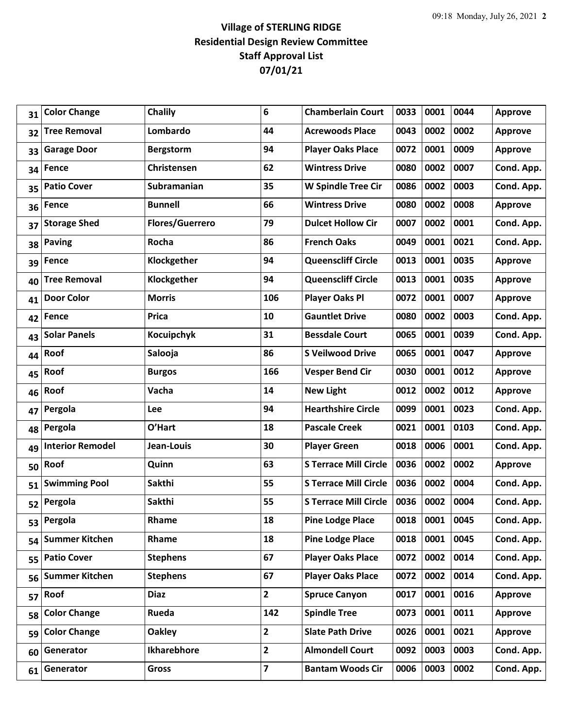## **Village of STERLING RIDGE Residential Design Review Committee Staff Approval List 07/01/21**

| 31 | <b>Color Change</b>     | <b>Chalily</b>         | 6              | <b>Chamberlain Court</b>     | 0033 | 0001 | 0044 | <b>Approve</b> |
|----|-------------------------|------------------------|----------------|------------------------------|------|------|------|----------------|
| 32 | <b>Tree Removal</b>     | Lombardo               | 44             | <b>Acrewoods Place</b>       | 0043 | 0002 | 0002 | <b>Approve</b> |
| 33 | <b>Garage Door</b>      | <b>Bergstorm</b>       | 94             | <b>Player Oaks Place</b>     | 0072 | 0001 | 0009 | <b>Approve</b> |
| 34 | Fence                   | Christensen            | 62             | <b>Wintress Drive</b>        | 0080 | 0002 | 0007 | Cond. App.     |
| 35 | <b>Patio Cover</b>      | Subramanian            | 35             | <b>W Spindle Tree Cir</b>    | 0086 | 0002 | 0003 | Cond. App.     |
| 36 | Fence                   | <b>Bunnell</b>         | 66             | <b>Wintress Drive</b>        | 0080 | 0002 | 0008 | <b>Approve</b> |
| 37 | <b>Storage Shed</b>     | <b>Flores/Guerrero</b> | 79             | <b>Dulcet Hollow Cir</b>     | 0007 | 0002 | 0001 | Cond. App.     |
| 38 | <b>Paving</b>           | Rocha                  | 86             | <b>French Oaks</b>           | 0049 | 0001 | 0021 | Cond. App.     |
| 39 | Fence                   | Klockgether            | 94             | <b>Queenscliff Circle</b>    | 0013 | 0001 | 0035 | <b>Approve</b> |
| 40 | <b>Tree Removal</b>     | Klockgether            | 94             | <b>Queenscliff Circle</b>    | 0013 | 0001 | 0035 | <b>Approve</b> |
| 41 | <b>Door Color</b>       | <b>Morris</b>          | 106            | <b>Player Oaks Pl</b>        | 0072 | 0001 | 0007 | <b>Approve</b> |
| 42 | Fence                   | Prica                  | 10             | <b>Gauntlet Drive</b>        | 0080 | 0002 | 0003 | Cond. App.     |
| 43 | <b>Solar Panels</b>     | Kocuipchyk             | 31             | <b>Bessdale Court</b>        | 0065 | 0001 | 0039 | Cond. App.     |
| 44 | Roof                    | Salooja                | 86             | <b>S Veilwood Drive</b>      | 0065 | 0001 | 0047 | <b>Approve</b> |
| 45 | Roof                    | <b>Burgos</b>          | 166            | <b>Vesper Bend Cir</b>       | 0030 | 0001 | 0012 | <b>Approve</b> |
| 46 | Roof                    | Vacha                  | 14             | <b>New Light</b>             | 0012 | 0002 | 0012 | <b>Approve</b> |
| 47 | Pergola                 | Lee                    | 94             | <b>Hearthshire Circle</b>    | 0099 | 0001 | 0023 | Cond. App.     |
| 48 | Pergola                 | O'Hart                 | 18             | <b>Pascale Creek</b>         | 0021 | 0001 | 0103 | Cond. App.     |
| 49 | <b>Interior Remodel</b> | Jean-Louis             | 30             | <b>Player Green</b>          | 0018 | 0006 | 0001 | Cond. App.     |
| 50 | Roof                    | Quinn                  | 63             | <b>S Terrace Mill Circle</b> | 0036 | 0002 | 0002 | <b>Approve</b> |
| 51 | <b>Swimming Pool</b>    | Sakthi                 | 55             | <b>S Terrace Mill Circle</b> | 0036 | 0002 | 0004 | Cond. App.     |
| 52 | Pergola                 | Sakthi                 | 55             | <b>S Terrace Mill Circle</b> | 0036 | 0002 | 0004 | Cond. App.     |
| 53 | Pergola                 | Rhame                  | 18             | <b>Pine Lodge Place</b>      | 0018 | 0001 | 0045 | Cond. App.     |
| 54 | <b>Summer Kitchen</b>   | Rhame                  | 18             | <b>Pine Lodge Place</b>      | 0018 | 0001 | 0045 | Cond. App.     |
| 55 | <b>Patio Cover</b>      | <b>Stephens</b>        | 67             | <b>Player Oaks Place</b>     | 0072 | 0002 | 0014 | Cond. App.     |
| 56 | <b>Summer Kitchen</b>   | <b>Stephens</b>        | 67             | <b>Player Oaks Place</b>     | 0072 | 0002 | 0014 | Cond. App.     |
| 57 | Roof                    | <b>Diaz</b>            | $\overline{2}$ | <b>Spruce Canyon</b>         | 0017 | 0001 | 0016 | <b>Approve</b> |
| 58 | <b>Color Change</b>     | Rueda                  | 142            | <b>Spindle Tree</b>          | 0073 | 0001 | 0011 | <b>Approve</b> |
| 59 | <b>Color Change</b>     | <b>Oakley</b>          | $\mathbf{2}$   | <b>Slate Path Drive</b>      | 0026 | 0001 | 0021 | <b>Approve</b> |
| 60 | Generator               | Ikharebhore            | $\mathbf{2}$   | <b>Almondell Court</b>       | 0092 | 0003 | 0003 | Cond. App.     |
| 61 | Generator               | <b>Gross</b>           | 7              | <b>Bantam Woods Cir</b>      | 0006 | 0003 | 0002 | Cond. App.     |